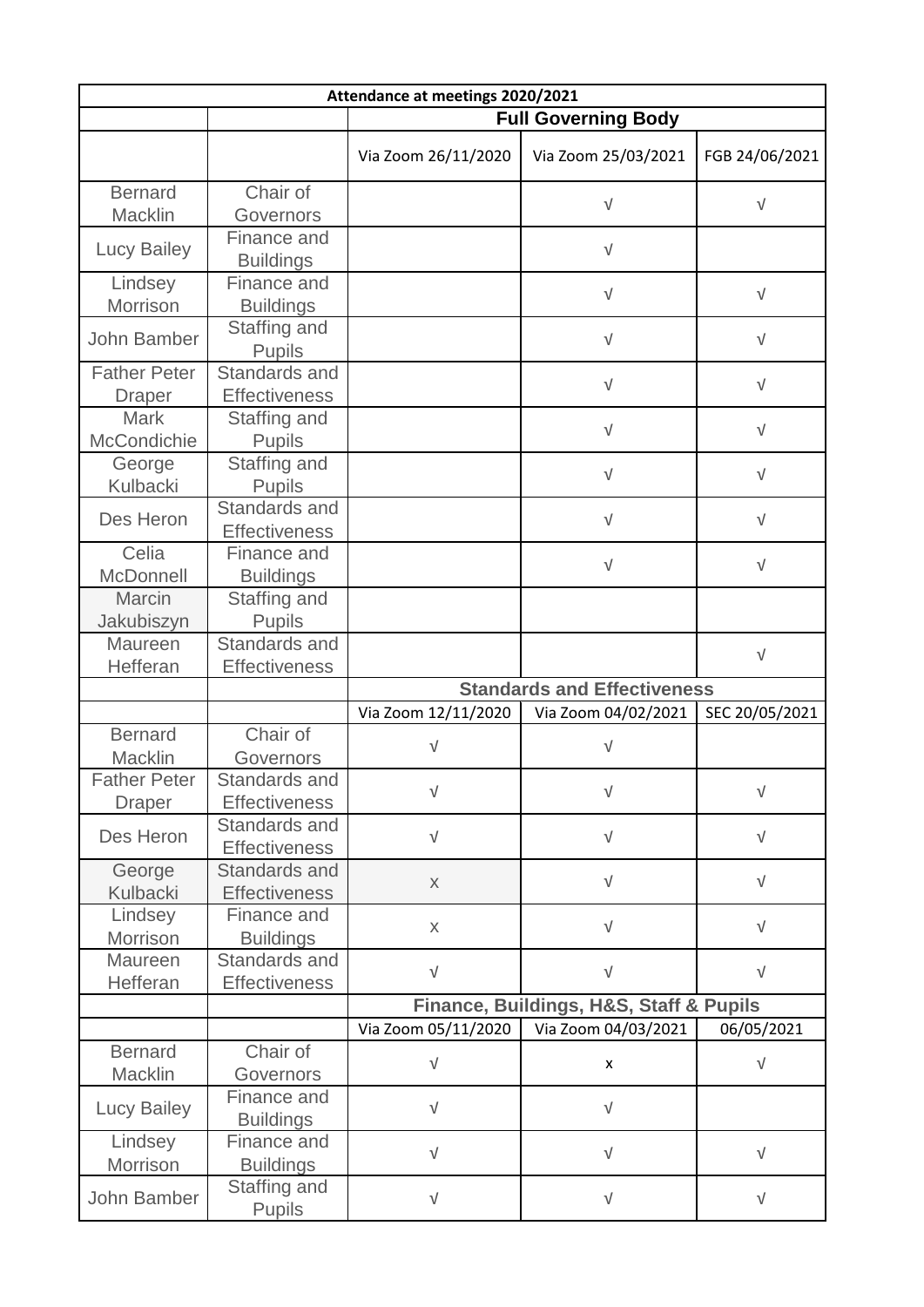| Attendance at meetings 2020/2021 |                                       |                                    |                                         |                |  |  |  |
|----------------------------------|---------------------------------------|------------------------------------|-----------------------------------------|----------------|--|--|--|
|                                  |                                       | <b>Full Governing Body</b>         |                                         |                |  |  |  |
|                                  |                                       | Via Zoom 26/11/2020                | Via Zoom 25/03/2021                     | FGB 24/06/2021 |  |  |  |
| <b>Bernard</b>                   | Chair of                              |                                    |                                         |                |  |  |  |
| Macklin                          | Governors                             |                                    | $\sqrt{ }$                              | $\sqrt{ }$     |  |  |  |
| <b>Lucy Bailey</b>               | Finance and<br><b>Buildings</b>       |                                    | $\sqrt{ }$                              |                |  |  |  |
| Lindsey<br>Morrison              | Finance and<br><b>Buildings</b>       |                                    | $\sqrt{ }$                              | $\sqrt{ }$     |  |  |  |
| John Bamber                      | Staffing and<br><b>Pupils</b>         |                                    | $\sqrt{ }$                              | $\sqrt{ }$     |  |  |  |
| <b>Father Peter</b>              | Standards and                         |                                    | $\sqrt{ }$                              | $\sqrt{}$      |  |  |  |
| <b>Draper</b>                    | <b>Effectiveness</b>                  |                                    |                                         |                |  |  |  |
| Mark<br>McCondichie              | Staffing and<br><b>Pupils</b>         |                                    | $\sqrt{}$                               | $\sqrt{}$      |  |  |  |
| George<br>Kulbacki               | Staffing and<br><b>Pupils</b>         |                                    | $\sqrt{}$                               | $\sqrt{}$      |  |  |  |
| Des Heron                        | Standards and<br><b>Effectiveness</b> |                                    | $\sqrt{ }$                              | V              |  |  |  |
| Celia<br>McDonnell               | Finance and<br><b>Buildings</b>       |                                    | $\sqrt{ }$                              | $\sqrt{ }$     |  |  |  |
| Marcin                           | Staffing and                          |                                    |                                         |                |  |  |  |
| Jakubiszyn                       | <b>Pupils</b>                         |                                    |                                         |                |  |  |  |
| Maureen<br>Hefferan              | Standards and<br><b>Effectiveness</b> |                                    |                                         | $\sqrt{ }$     |  |  |  |
|                                  |                                       | <b>Standards and Effectiveness</b> |                                         |                |  |  |  |
|                                  |                                       | Via Zoom 12/11/2020                | Via Zoom 04/02/2021                     | SEC 20/05/2021 |  |  |  |
| <b>Bernard</b>                   | Chair of                              |                                    |                                         |                |  |  |  |
| Macklin                          | Governors                             | $\sqrt{}$                          | $\sqrt{}$                               |                |  |  |  |
| <b>Father Peter</b>              | Standards and                         |                                    |                                         |                |  |  |  |
| <b>Draper</b>                    | <b>Effectiveness</b>                  | $\sqrt{}$                          | $\sqrt{ }$                              | $\sqrt{}$      |  |  |  |
|                                  | Standards and                         |                                    |                                         |                |  |  |  |
| Des Heron                        | <b>Effectiveness</b>                  | $\sqrt{ }$                         | $\sqrt{ }$                              | $\sqrt{}$      |  |  |  |
| George                           | <b>Standards and</b>                  |                                    |                                         |                |  |  |  |
| Kulbacki                         | <b>Effectiveness</b>                  | $\mathsf X$                        | $\sqrt{ }$                              | $\sqrt{ }$     |  |  |  |
| Lindsey                          | Finance and                           |                                    |                                         |                |  |  |  |
| Morrison                         | <b>Buildings</b>                      | $\mathsf{X}$                       | $\sqrt{ }$                              | $\sqrt{ }$     |  |  |  |
| Maureen                          | Standards and                         |                                    |                                         |                |  |  |  |
| Hefferan                         | <b>Effectiveness</b>                  | $\sqrt{ }$                         | $\sqrt{ }$                              | $\sqrt{ }$     |  |  |  |
|                                  |                                       |                                    | Finance, Buildings, H&S, Staff & Pupils |                |  |  |  |
|                                  |                                       | Via Zoom 05/11/2020                | Via Zoom 04/03/2021                     | 06/05/2021     |  |  |  |
| <b>Bernard</b>                   | Chair of                              | $\sqrt{}$                          |                                         | $\sqrt{ }$     |  |  |  |
| Macklin                          | Governors                             |                                    | X                                       |                |  |  |  |
| <b>Lucy Bailey</b>               | Finance and<br><b>Buildings</b>       | $\sqrt{}$                          | $\sqrt{}$                               |                |  |  |  |
| Lindsey                          | Finance and                           | $\sqrt{}$                          | $\sqrt{ }$                              | $\sqrt{ }$     |  |  |  |
| Morrison                         | <b>Buildings</b>                      |                                    |                                         |                |  |  |  |
| John Bamber                      | Staffing and<br><b>Pupils</b>         | $\sqrt{}$                          | $\sqrt{ }$                              | $\sqrt{}$      |  |  |  |